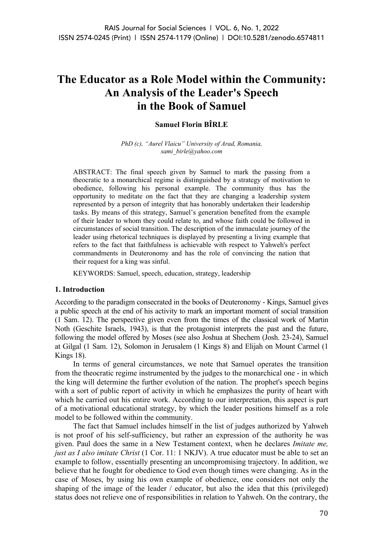# **The Educator as a Role Model within the Community: An Analysis of the Leader's Speech in the Book of Samuel**

## **Samuel Florin BÎRLE**

*PhD (c), "Aurel Vlaicu" University of Arad, Romania, sami\_birle@yahoo.com*

ABSTRACT: The final speech given by Samuel to mark the passing from a theocratic to a monarchical regime is distinguished by a strategy of motivation to obedience, following his personal example. The community thus has the opportunity to meditate on the fact that they are changing a leadership system represented by a person of integrity that has honorably undertaken their leadership tasks. By means of this strategy, Samuel's generation benefited from the example of their leader to whom they could relate to, and whose faith could be followed in circumstances of social transition. The description of the immaculate journey of the leader using rhetorical techniques is displayed by presenting a living example that refers to the fact that faithfulness is achievable with respect to Yahweh's perfect commandments in Deuteronomy and has the role of convincing the nation that their request for a king was sinful.

KEYWORDS: Samuel, speech, education, strategy, leadership

### **1. Introduction**

According to the paradigm consecrated in the books of Deuteronomy - Kings, Samuel gives a public speech at the end of his activity to mark an important moment of social transition (1 Sam. 12). The perspective given even from the times of the classical work of Martin Noth (Geschite Israels, 1943), is that the protagonist interprets the past and the future, following the model offered by Moses (see also Joshua at Shechem (Josh. 23-24), Samuel at Gilgal (1 Sam. 12), Solomon in Jerusalem (1 Kings 8) and Elijah on Mount Carmel (1 Kings 18).

In terms of general circumstances, we note that Samuel operates the transition from the theocratic regime instrumented by the judges to the monarchical one - in which the king will determine the further evolution of the nation. The prophet's speech begins with a sort of public report of activity in which he emphasizes the purity of heart with which he carried out his entire work. According to our interpretation, this aspect is part of a motivational educational strategy, by which the leader positions himself as a role model to be followed within the community.

The fact that Samuel includes himself in the list of judges authorized by Yahweh is not proof of his self-sufficiency, but rather an expression of the authority he was given. Paul does the same in a New Testament context, when he declares *Imitate me, just as I also imitate Christ* (1 Cor. 11: 1 NKJV). A true educator must be able to set an example to follow, essentially presenting an uncompromising trajectory. In addition, we believe that he fought for obedience to God even though times were changing. As in the case of Moses, by using his own example of obedience, one considers not only the shaping of the image of the leader / educator, but also the idea that this (privileged) status does not relieve one of responsibilities in relation to Yahweh. On the contrary, the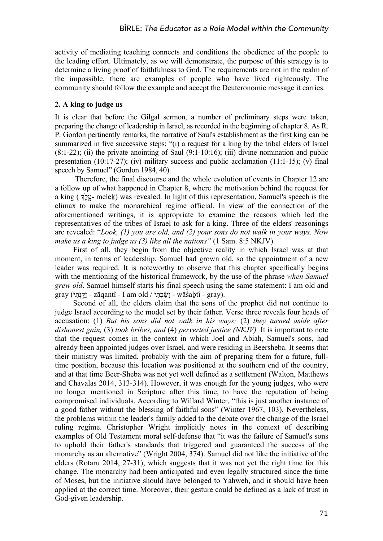activity of mediating teaching connects and conditions the obedience of the people to the leading effort. Ultimately, as we will demonstrate, the purpose of this strategy is to determine a living proof of faithfulness to God. The requirements are not in the realm of the impossible, there are examples of people who have lived righteously. The community should follow the example and accept the Deuteronomic message it carries.

# **2. A king to judge us**

It is clear that before the Gilgal sermon, a number of preliminary steps were taken, preparing the change of leadership in Israel, as recorded in the beginning of chapter 8. As R. P. Gordon pertinently remarks, the narrative of Saul's establishment as the first king can be summarized in five successive steps: "(i) a request for a king by the tribal elders of Israel  $(8:1-22)$ ; (ii) the private anointing of Saul  $(9:1-10:16)$ ; (iii) divine nomination and public presentation (10:17-27); (iv) military success and public acclamation (11:1-15); (v) final speech by Samuel" (Gordon 1984, 40).

Therefore, the final discourse and the whole evolution of events in Chapter 12 are a follow up of what happened in Chapter 8, where the motivation behind the request for a king ( מֶ֖לֶg - meleḵ) was revealed. In light of this representation, Samuel's speech is the climax to make the monarchical regime official. In view of the connection of the aforementioned writings, it is appropriate to examine the reasons which led the representatives of the tribes of Israel to ask for a king. Three of the elders' reasonings are revealed: "*Look, (1) you are old, and (2) your sons do not walk in your ways. Now make us a king to judge us (3) like all the nations"* (1 Sam. 8:5 NKJV).

First of all, they begin from the objective reality in which Israel was at that moment, in terms of leadership. Samuel had grown old, so the appointment of a new leader was required. It is noteworthy to observe that this chapter specifically begins with the mentioning of the historical framework, by the use of the phrase *when Samuel grew old*. Samuel himself starts his final speech using the same statement: I am old and  $\sigma$ gray (יְשֵׂבֹהֵי - zāqantî - I am old / יְשֵׂבֹהַי - wāśabtî - gray).

Second of all, the elders claim that the sons of the prophet did not continue to judge Israel according to the model set by their father. Verse three reveals four heads of accusation: (1) *But his sons did not walk in his ways;* (2) *they turned aside after dishonest gain,* (3) *took bribes, and* (4) *perverted justice (NKJV).* It is important to note that the request comes in the context in which Joel and Abiah, Samuel's sons, had already been appointed judges over Israel, and were residing in Beersheba. It seems that their ministry was limited, probably with the aim of preparing them for a future, fulltime position, because this location was positioned at the southern end of the country, and at that time Beer-Sheba was not yet well defined as a settlement (Walton, Matthews and Chavalas 2014, 313-314). However, it was enough for the young judges, who were no longer mentioned in Scripture after this time, to have the reputation of being compromised individuals. According to Willard Winter, "this is just another instance of a good father without the blessing of faithful sons" (Winter 1967, 103). Nevertheless, the problems within the leader's family added to the debate over the change of the Israel ruling regime. Christopher Wright implicitly notes in the context of describing examples of Old Testament moral self-defense that "it was the failure of Samuel's sons to uphold their father's standards that triggered and guaranteed the success of the monarchy as an alternative" (Wright 2004, 374). Samuel did not like the initiative of the elders (Rotaru 2014, 27-31), which suggests that it was not yet the right time for this change. The monarchy had been anticipated and even legally structured since the time of Moses, but the initiative should have belonged to Yahweh, and it should have been applied at the correct time. Moreover, their gesture could be defined as a lack of trust in God-given leadership.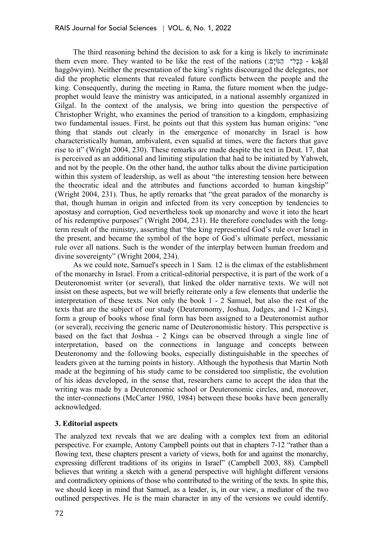The third reasoning behind the decision to ask for a king is likely to incriminate them even more. They wanted to be like the rest of the nations (הַכְּל - הָגּוֹיֵם - kəkāl haggōwyim). Neither the presentation of the king's rights discouraged the delegates, nor did the prophetic elements that revealed future conflicts between the people and the king. Consequently, during the meeting in Rama, the future moment when the judgeprophet would leave the ministry was anticipated, in a national assembly organized in Gilgal. In the context of the analysis, we bring into question the perspective of Christopher Wright, who examines the period of transition to a kingdom, emphasizing two fundamental issues. First, he points out that this system has human origins: "one thing that stands out clearly in the emergence of monarchy in Israel is how characteristically human, ambivalent, even squalid at times, were the factors that gave rise to it" (Wright 2004, 230). These remarks are made despite the text in Deut. 17, that is perceived as an additional and limiting stipulation that had to be initiated by Yahweh, and not by the people. On the other hand, the author talks about the divine participation within this system of leadership, as well as about "the interesting tension here between the theocratic ideal and the attributes and functions accorded to human kingship" (Wright 2004, 231). Thus, he aptly remarks that "the great paradox of the monarchy is that, though human in origin and infected from its very conception by tendencies to apostasy and corruption, God nevertheless took up monarchy and wove it into the heart of his redemptive purposes" (Wright 2004, 231). He therefore concludes with the longterm result of the ministry, asserting that "the king represented God's rule over Israel in the present, and became the symbol of the hope of God's ultimate perfect, messianic rule over all nations. Such is the wonder of the interplay between human freedom and divine sovereignty" (Wright 2004, 234).

As we could note, Samuel's speech in 1 Sam. 12 is the climax of the establishment of the monarchy in Israel. From a critical-editorial perspective, it is part of the work of a Deuteronomist writer (or several), that linked the older narrative texts. We will not insist on these aspects, but we will briefly reiterate only a few elements that underlie the interpretation of these texts. Not only the book 1 - 2 Samuel, but also the rest of the texts that are the subject of our study (Deuteronomy, Joshua, Judges, and 1-2 Kings), form a group of books whose final form has been assigned to a Deuteronomist author (or several), receiving the generic name of Deuteronomistic history. This perspective is based on the fact that Joshua - 2 Kings can be observed through a single line of interpretation, based on the connections in language and concepts between Deuteronomy and the following books, especially distinguishable in the speeches of leaders given at the turning points in history. Although the hypothesis that Martin Noth made at the beginning of his study came to be considered too simplistic, the evolution of his ideas developed, in the sense that, researchers came to accept the idea that the writing was made by a Deuteronomic school or Deuteronomic circles, and, moreover, the inter-connections (McCarter 1980, 1984) between these books have been generally acknowledged.

### **3. Editorial aspects**

The analyzed text reveals that we are dealing with a complex text from an editorial perspective. For example, Antony Campbell points out that in chapters 7-12 "rather than a flowing text, these chapters present a variety of views, both for and against the monarchy, expressing different traditions of its origins in Israel" (Campbell 2003, 88). Campbell believes that writing a sketch with a general perspective will highlight different versions and contradictory opinions of those who contributed to the writing of the texts. In spite this, we should keep in mind that Samuel, as a leader, is, in our view, a mediator of the two outlined perspectives. He is the main character in any of the versions we could identify.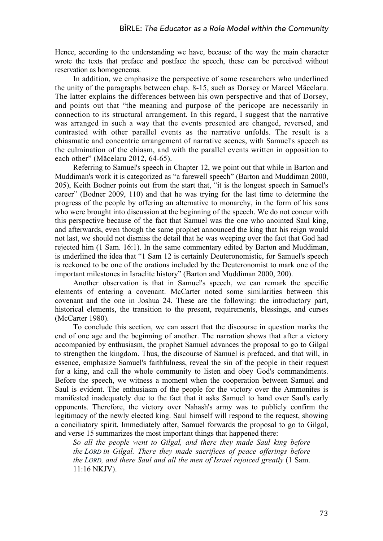Hence, according to the understanding we have, because of the way the main character wrote the texts that preface and postface the speech, these can be perceived without reservation as homogeneous.

In addition, we emphasize the perspective of some researchers who underlined the unity of the paragraphs between chap. 8-15, such as Dorsey or Marcel Măcelaru. The latter explains the differences between his own perspective and that of Dorsey, and points out that "the meaning and purpose of the pericope are necessarily in connection to its structural arrangement. In this regard, I suggest that the narrative was arranged in such a way that the events presented are changed, reversed, and contrasted with other parallel events as the narrative unfolds. The result is a chiasmatic and concentric arrangement of narrative scenes, with Samuel's speech as the culmination of the chiasm, and with the parallel events written in opposition to each other" (Măcelaru 2012, 64-65).

Referring to Samuel's speech in Chapter 12, we point out that while in Barton and Muddiman's work it is categorized as "a farewell speech" (Barton and Muddiman 2000, 205), Keith Bodner points out from the start that, "it is the longest speech in Samuel's career" (Bodner 2009, 110) and that he was trying for the last time to determine the progress of the people by offering an alternative to monarchy, in the form of his sons who were brought into discussion at the beginning of the speech. We do not concur with this perspective because of the fact that Samuel was the one who anointed Saul king, and afterwards, even though the same prophet announced the king that his reign would not last, we should not dismiss the detail that he was weeping over the fact that God had rejected him (1 Sam. 16:1). In the same commentary edited by Barton and Muddiman, is underlined the idea that "1 Sam 12 is certainly Deuteronomistic, for Samuel's speech is reckoned to be one of the orations included by the Deuteronomist to mark one of the important milestones in Israelite history" (Barton and Muddiman 2000, 200).

Another observation is that in Samuel's speech, we can remark the specific elements of entering a covenant. McCarter noted some similarities between this covenant and the one in Joshua 24. These are the following: the introductory part, historical elements, the transition to the present, requirements, blessings, and curses (McCarter 1980).

To conclude this section, we can assert that the discourse in question marks the end of one age and the beginning of another. The narration shows that after a victory accompanied by enthusiasm, the prophet Samuel advances the proposal to go to Gilgal to strengthen the kingdom. Thus, the discourse of Samuel is prefaced, and that will, in essence, emphasize Samuel's faithfulness, reveal the sin of the people in their request for a king, and call the whole community to listen and obey God's commandments. Before the speech, we witness a moment when the cooperation between Samuel and Saul is evident. The enthusiasm of the people for the victory over the Ammonites is manifested inadequately due to the fact that it asks Samuel to hand over Saul's early opponents. Therefore, the victory over Nahash's army was to publicly confirm the legitimacy of the newly elected king. Saul himself will respond to the request, showing a conciliatory spirit. Immediately after, Samuel forwards the proposal to go to Gilgal, and verse 15 summarizes the most important things that happened there:

*So all the people went to Gilgal, and there they made Saul king before the LORD in Gilgal. There they made sacrifices of peace offerings before the LORD, and there Saul and all the men of Israel rejoiced greatly* (1 Sam. 11:16 NKJV).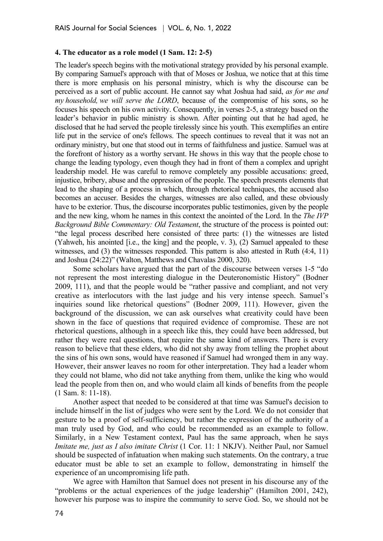## **4. The educator as a role model (1 Sam. 12: 2-5)**

The leader's speech begins with the motivational strategy provided by his personal example. By comparing Samuel's approach with that of Moses or Joshua, we notice that at this time there is more emphasis on his personal ministry, which is why the discourse can be perceived as a sort of public account. He cannot say what Joshua had said, *as for me and my household, we will serve the LORD*, because of the compromise of his sons, so he focuses his speech on his own activity. Consequently, in verses 2-5, a strategy based on the leader's behavior in public ministry is shown. After pointing out that he had aged, he disclosed that he had served the people tirelessly since his youth. This exemplifies an entire life put in the service of one's fellows. The speech continues to reveal that it was not an ordinary ministry, but one that stood out in terms of faithfulness and justice. Samuel was at the forefront of history as a worthy servant. He shows in this way that the people chose to change the leading typology, even though they had in front of them a complex and upright leadership model. He was careful to remove completely any possible accusations: greed, injustice, bribery, abuse and the oppression of the people. The speech presents elements that lead to the shaping of a process in which, through rhetorical techniques, the accused also becomes an accuser. Besides the charges, witnesses are also called, and these obviously have to be exterior. Thus, the discourse incorporates public testimonies, given by the people and the new king, whom he names in this context the anointed of the Lord. In the *The IVP Background Bible Commentary: Old Testament*, the structure of the process is pointed out: "the legal process described here consisted of three parts: (1) the witnesses are listed (Yahweh, his anointed [i.e., the king] and the people, v. 3), (2) Samuel appealed to these witnesses, and (3) the witnesses responded. This pattern is also attested in Ruth (4:4, 11) and Joshua (24:22)" (Walton, Matthews and Chavalas 2000, 320).

Some scholars have argued that the part of the discourse between verses 1-5 "do not represent the most interesting dialogue in the Deuteronomistic History" (Bodner 2009, 111), and that the people would be "rather passive and compliant, and not very creative as interlocutors with the last judge and his very intense speech. Samuel's inquiries sound like rhetorical questions" (Bodner 2009, 111). However, given the background of the discussion, we can ask ourselves what creativity could have been shown in the face of questions that required evidence of compromise. These are not rhetorical questions, although in a speech like this, they could have been addressed, but rather they were real questions, that require the same kind of answers. There is every reason to believe that these elders, who did not shy away from telling the prophet about the sins of his own sons, would have reasoned if Samuel had wronged them in any way. However, their answer leaves no room for other interpretation. They had a leader whom they could not blame, who did not take anything from them, unlike the king who would lead the people from then on, and who would claim all kinds of benefits from the people (1 Sam. 8: 11-18).

Another aspect that needed to be considered at that time was Samuel's decision to include himself in the list of judges who were sent by the Lord. We do not consider that gesture to be a proof of self-sufficiency, but rather the expression of the authority of a man truly used by God, and who could be recommended as an example to follow. Similarly, in a New Testament context, Paul has the same approach, when he says *Imitate me, just as I also imitate Christ* (1 Cor. 11: 1 NKJV). Neither Paul, nor Samuel should be suspected of infatuation when making such statements. On the contrary, a true educator must be able to set an example to follow, demonstrating in himself the experience of an uncompromising life path.

We agree with Hamilton that Samuel does not present in his discourse any of the "problems or the actual experiences of the judge leadership" (Hamilton 2001, 242), however his purpose was to inspire the community to serve God. So, we should not be